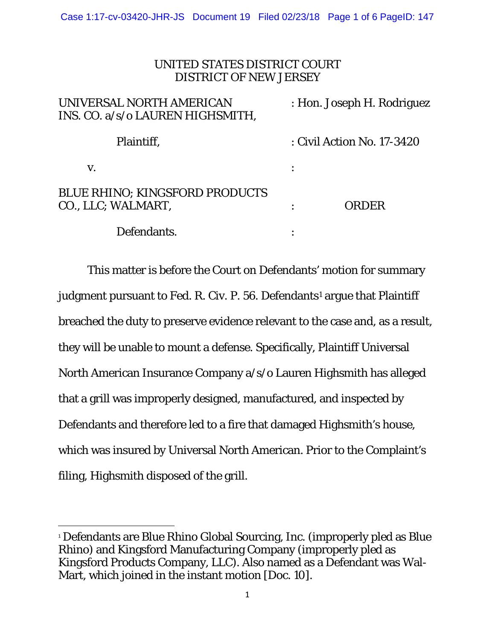# UNITED STATES DISTRICT COURT DISTRICT OF NEW JERSEY

| UNIVERSAL NORTH AMERICAN<br>INS. CO. a/s/o LAUREN HIGHSMITH, | : Hon. Joseph H. Rodriguez |
|--------------------------------------------------------------|----------------------------|
| Plaintiff.                                                   | : Civil Action No. 17-3420 |
| V.                                                           |                            |
| <b>BLUE RHINO; KINGSFORD PRODUCTS</b><br>CO., LLC; WALMART,  | <b>ORDER</b>               |
| Defendants.                                                  |                            |

This matter is before the Court on Defendants' motion for summary judgment pursuant to Fed. R. Civ. P. 56. Defendants<sup>1</sup> argue that Plaintiff breached the duty to preserve evidence relevant to the case and, as a result, they will be unable to mount a defense. Specifically, Plaintiff Universal North American Insurance Company a/s/o Lauren Highsmith has alleged that a grill was improperly designed, manufactured, and inspected by Defendants and therefore led to a fire that damaged Highsmith's house, which was insured by Universal North American. Prior to the Complaint's filing, Highsmith disposed of the grill.

l <sup>1</sup> Defendants are Blue Rhino Global Sourcing, Inc. (improperly pled as Blue Rhino) and Kingsford Manufacturing Company (improperly pled as Kingsford Products Company, LLC). Also named as a Defendant was Wal-Mart, which joined in the instant motion [Doc. 10].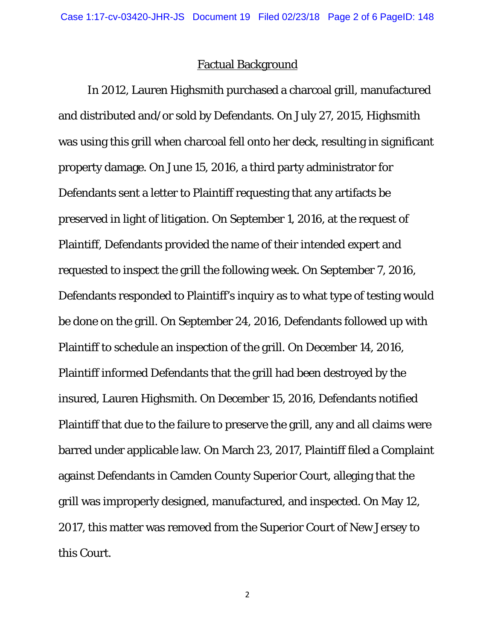### Factual Background

In 2012, Lauren Highsmith purchased a charcoal grill, manufactured and distributed and/or sold by Defendants. On July 27, 2015, Highsmith was using this grill when charcoal fell onto her deck, resulting in significant property damage. On June 15, 2016, a third party administrator for Defendants sent a letter to Plaintiff requesting that any artifacts be preserved in light of litigation. On September 1, 2016, at the request of Plaintiff, Defendants provided the name of their intended expert and requested to inspect the grill the following week. On September 7, 2016, Defendants responded to Plaintiff's inquiry as to what type of testing would be done on the grill. On September 24, 2016, Defendants followed up with Plaintiff to schedule an inspection of the grill. On December 14, 2016, Plaintiff informed Defendants that the grill had been destroyed by the insured, Lauren Highsmith. On December 15, 2016, Defendants notified Plaintiff that due to the failure to preserve the grill, any and all claims were barred under applicable law. On March 23, 2017, Plaintiff filed a Complaint against Defendants in Camden County Superior Court, alleging that the grill was improperly designed, manufactured, and inspected. On May 12, 2017, this matter was removed from the Superior Court of New Jersey to this Court.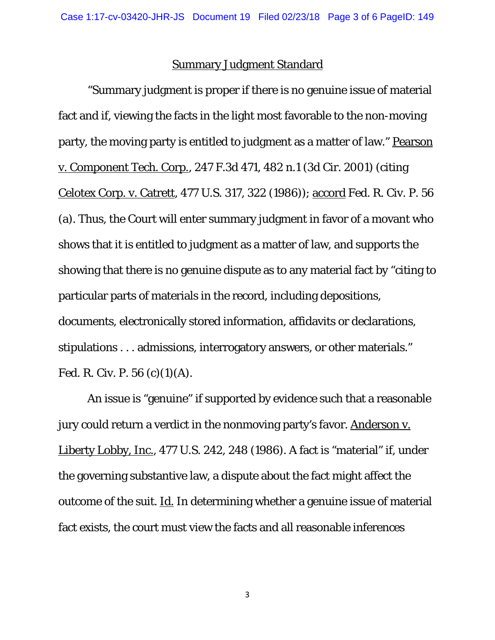### Summary Judgment Standard

"Summary judgment is proper if there is no genuine issue of material fact and if, viewing the facts in the light most favorable to the non-moving party, the moving party is entitled to judgment as a matter of law." Pearson v. Component Tech. Corp., 247 F.3d 471, 482 n.1 (3d Cir. 2001) (citing Celotex Corp. v. Catrett, 477 U.S. 317, 322 (1986)); accord Fed. R. Civ. P. 56 (a). Thus, the Court will enter summary judgment in favor of a movant who shows that it is entitled to judgment as a matter of law, and supports the showing that there is no genuine dispute as to any material fact by "citing to particular parts of materials in the record, including depositions, documents, electronically stored information, affidavits or declarations, stipulations . . . admissions, interrogatory answers, or other materials." Fed. R. Civ. P. 56 (c)(1)(A).

An issue is "genuine" if supported by evidence such that a reasonable jury could return a verdict in the nonmoving party's favor. Anderson v. Liberty Lobby, Inc., 477 U.S. 242, 248 (1986). A fact is "material" if, under the governing substantive law, a dispute about the fact might affect the outcome of the suit. Id. In determining whether a genuine issue of material fact exists, the court must view the facts and all reasonable inferences

3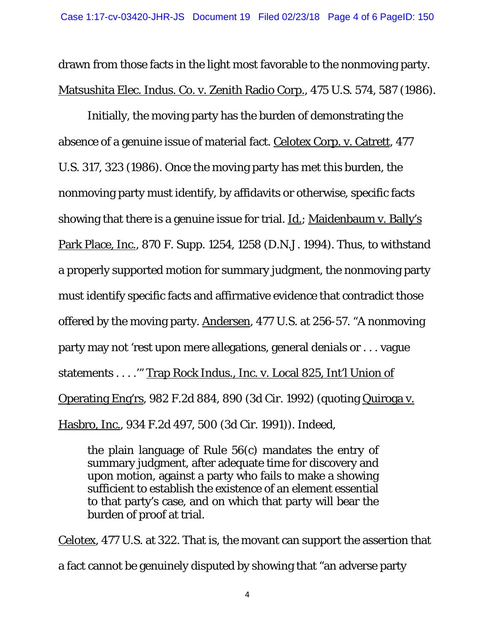drawn from those facts in the light most favorable to the nonmoving party. Matsushita Elec. Indus. Co. v. Zenith Radio Corp., 475 U.S. 574, 587 (1986).

Initially, the moving party has the burden of demonstrating the absence of a genuine issue of material fact. Celotex Corp. v. Catrett, 477 U.S. 317, 323 (1986). Once the moving party has met this burden, the nonmoving party must identify, by affidavits or otherwise, specific facts showing that there is a genuine issue for trial. Id.; Maidenbaum v. Bally's Park Place, Inc., 870 F. Supp. 1254, 1258 (D.N.J. 1994). Thus, to withstand a properly supported motion for summary judgment, the nonmoving party must identify specific facts and affirmative evidence that contradict those offered by the moving party. Andersen, 477 U.S. at 256-57. "A nonmoving party may not 'rest upon mere allegations, general denials or . . . vague statements . . . .'" Trap Rock Indus., Inc. v. Local 825, Int'l Union of Operating Eng'rs, 982 F.2d 884, 890 (3d Cir. 1992) (quoting Quiroga v. Hasbro, Inc., 934 F.2d 497, 500 (3d Cir. 1991)). Indeed,

the plain language of Rule 56(c) mandates the entry of summary judgment, after adequate time for discovery and upon motion, against a party who fails to make a showing sufficient to establish the existence of an element essential to that party's case, and on which that party will bear the burden of proof at trial.

Celotex, 477 U.S. at 322. That is, the movant can support the assertion that a fact cannot be genuinely disputed by showing that "an adverse party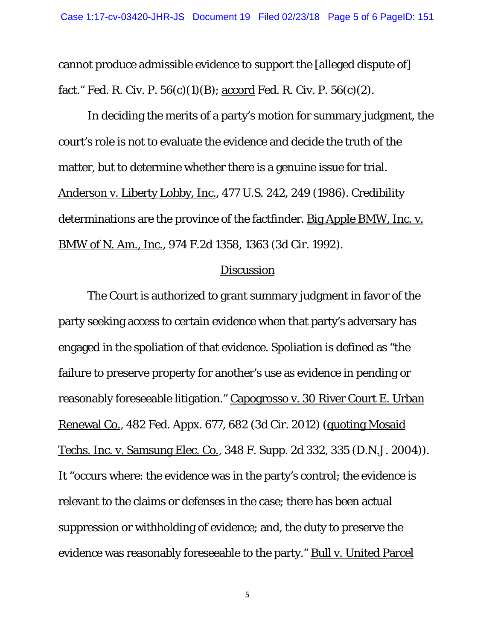cannot produce admissible evidence to support the [alleged dispute of] fact." Fed. R. Civ. P.  $56(c)(1)(B)$ ; accord Fed. R. Civ. P.  $56(c)(2)$ .

In deciding the merits of a party's motion for summary judgment, the court's role is not to evaluate the evidence and decide the truth of the matter, but to determine whether there is a genuine issue for trial. Anderson v. Liberty Lobby, Inc., 477 U.S. 242, 249 (1986). Credibility determinations are the province of the factfinder. Big Apple BMW, Inc. v. BMW of N. Am., Inc., 974 F.2d 1358, 1363 (3d Cir. 1992).

#### **Discussion**

The Court is authorized to grant summary judgment in favor of the party seeking access to certain evidence when that party's adversary has engaged in the spoliation of that evidence. Spoliation is defined as "the failure to preserve property for another's use as evidence in pending or reasonably foreseeable litigation." Capogrosso v. 30 River Court E. Urban Renewal Co., 482 Fed. Appx. 677, 682 (3d Cir. 2012) (quoting Mosaid Techs. Inc. v. Samsung Elec. Co., 348 F. Supp. 2d 332, 335 (D.N.J. 2004)). It "occurs where: the evidence was in the party's control; the evidence is relevant to the claims or defenses in the case; there has been actual suppression or withholding of evidence; and, the duty to preserve the evidence was reasonably foreseeable to the party." Bull v. United Parcel